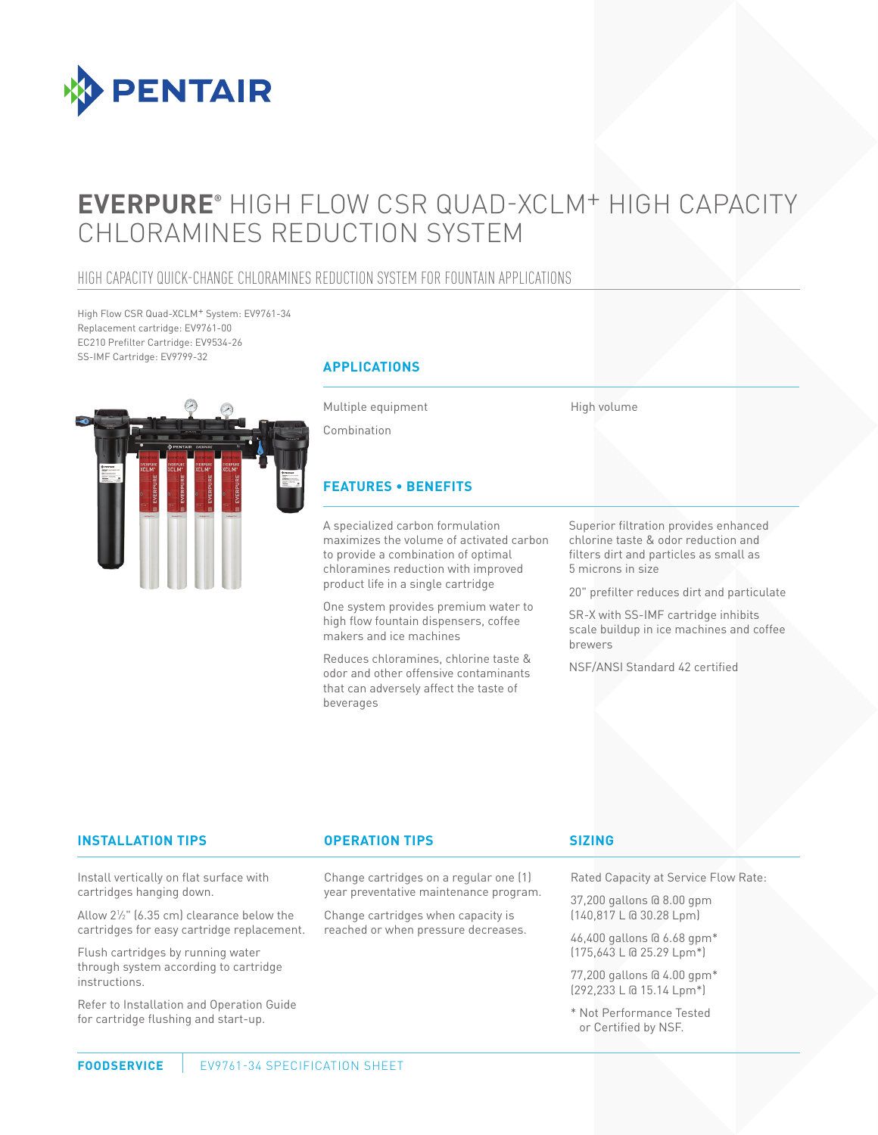

# **EVERPURE®** HIGH FLOW CSR QUAD-XCLM+ HIGH CAPACITY CHLORAMINES REDUCTION SYSTEM

### HIGH CAPACITY QUICK-CHANGE CHLORAMINES REDUCTION SYSTEM FOR FOUNTAIN APPLICATIONS

High Flow CSR Quad-XCLM+ System: EV9761-34 Replacement cartridge: EV9761-00 EC210 Prefilter Cartridge: EV9534-26 SS-IMF Cartridge: EV9799-32



### **APPLICATIONS**

Multiple equipment

High volume

Combination

### **FEATURES • BENEFITS**

A specialized carbon formulation maximizes the volume of activated carbon to provide a combination of optimal chloramines reduction with improved product life in a single cartridge

One system provides premium water to high flow fountain dispensers, coffee makers and ice machines

Reduces chloramines, chlorine taste & odor and other offensive contaminants that can adversely affect the taste of beverages

Superior filtration provides enhanced chlorine taste & odor reduction and filters dirt and particles as small as 5 microns in size

20" prefilter reduces dirt and particulate

SR-X with SS-IMF cartridge inhibits scale buildup in ice machines and coffee brewers

NSF/ANSI Standard 42 certified

### **INSTALLATION TIPS OPERATION TIPS**

Change cartridges on a regular one (1) year preventative maintenance program.

Change cartridges when capacity is reached or when pressure decreases.

### **SIZING**

Rated Capacity at Service Flow Rate:

37,200 gallons @ 8.00 gpm (140,817 L @ 30.28 Lpm)

46,400 gallons @ 6.68 gpm\* (175,643 L @ 25.29 Lpm\*)

77,200 gallons @ 4.00 gpm\* (292,233 L @ 15.14 Lpm\*)

\* Not Performance Tested or Certified by NSF.

### Install vertically on flat surface with

cartridges hanging down.

Allow 21 ⁄2" (6.35 cm) clearance below the cartridges for easy cartridge replacement.

Flush cartridges by running water through system according to cartridge instructions.

Refer to Installation and Operation Guide for cartridge flushing and start-up.